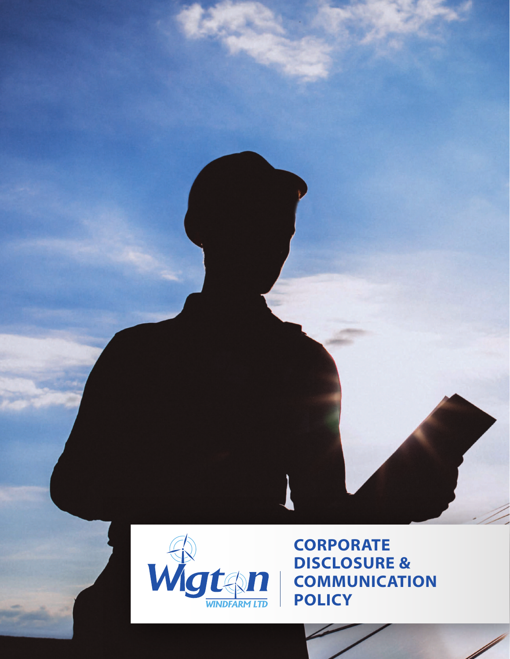



**CORPORATE DISCLOSURE & COMMUNICATION POLICY**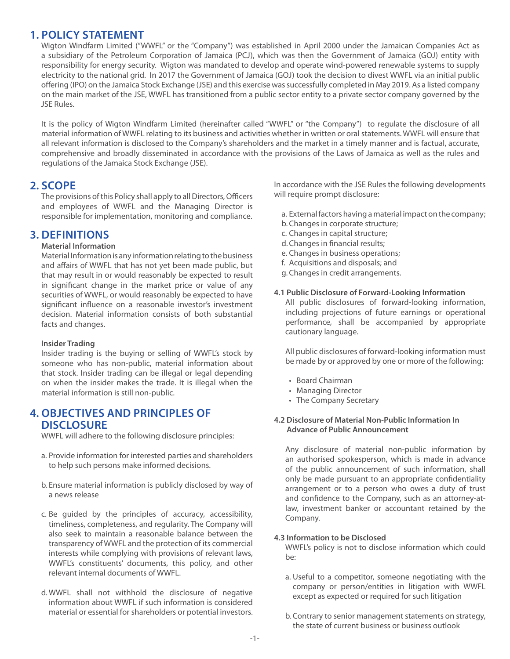## **1. POLICY STATEMENT**

Wigton Windfarm Limited ("WWFL" or the "Company") was established in April 2000 under the Jamaican Companies Act as a subsidiary of the Petroleum Corporation of Jamaica (PCJ), which was then the Government of Jamaica (GOJ) entity with responsibility for energy security. Wigton was mandated to develop and operate wind-powered renewable systems to supply electricity to the national grid. In 2017 the Government of Jamaica (GOJ) took the decision to divest WWFL via an initial public offering (IPO) on the Jamaica Stock Exchange (JSE) and this exercise was successfully completed in May 2019. As a listed company on the main market of the JSE, WWFL has transitioned from a public sector entity to a private sector company governed by the JSE Rules.

It is the policy of Wigton Windfarm Limited (hereinafter called "WWFL" or "the Company") to regulate the disclosure of all material information of WWFL relating to its business and activities whether in written or oral statements. WWFL will ensure that all relevant information is disclosed to the Company's shareholders and the market in a timely manner and is factual, accurate, comprehensive and broadly disseminated in accordance with the provisions of the Laws of Jamaica as well as the rules and regulations of the Jamaica Stock Exchange (JSE).

## **2. SCOPE**

The provisions of this Policy shall apply to all Directors, Officers and employees of WWFL and the Managing Director is responsible for implementation, monitoring and compliance.

# **3. DEFINITIONS**

#### **Material Information**

Material Information is any information relating to the business and affairs of WWFL that has not yet been made public, but that may result in or would reasonably be expected to result in significant change in the market price or value of any securities of WWFL, or would reasonably be expected to have significant influence on a reasonable investor's investment decision. Material information consists of both substantial facts and changes.

#### **Insider Trading**

Insider trading is the buying or selling of WWFL's stock by someone who has non-public, material information about that stock. Insider trading can be illegal or legal depending on when the insider makes the trade. It is illegal when the material information is still non-public.

### **4. OBJECTIVES AND PRINCIPLES OF DISCLOSURE**

WWFL will adhere to the following disclosure principles:

- a. Provide information for interested parties and shareholders to help such persons make informed decisions.
- b. Ensure material information is publicly disclosed by way of a news release
- c. Be guided by the principles of accuracy, accessibility, timeliness, completeness, and regularity. The Company will also seek to maintain a reasonable balance between the transparency of WWFL and the protection of its commercial interests while complying with provisions of relevant laws, WWFL's constituents' documents, this policy, and other relevant internal documents of WWFL.
- d.WWFL shall not withhold the disclosure of negative information about WWFL if such information is considered material or essential for shareholders or potential investors.

In accordance with the JSE Rules the following developments will require prompt disclosure:

- a. External factors having a material impact on the company;
- b. Changes in corporate structure;
- c. Changes in capital structure;
- d.Changes in financial results;
- e. Changes in business operations;
- f. Acquisitions and disposals; and
- g. Changes in credit arrangements.

#### **4.1 Public Disclosure of Forward-Looking Information**

All public disclosures of forward-looking information, including projections of future earnings or operational performance, shall be accompanied by appropriate cautionary language.

All public disclosures of forward-looking information must be made by or approved by one or more of the following:

- • Board Chairman
- • Managing Director
- The Company Secretary

#### **4.2 Disclosure of Material Non-Public Information In Advance of Public Announcement**

Any disclosure of material non-public information by an authorised spokesperson, which is made in advance of the public announcement of such information, shall only be made pursuant to an appropriate confidentiality arrangement or to a person who owes a duty of trust and confidence to the Company, such as an attorney-atlaw, investment banker or accountant retained by the Company.

#### **4.3 Information to be Disclosed**

WWFL's policy is not to disclose information which could  $he.$ 

- a. Useful to a competitor, someone negotiating with the company or person/entities in litigation with WWFL except as expected or required for such litigation
- b. Contrary to senior management statements on strategy, the state of current business or business outlook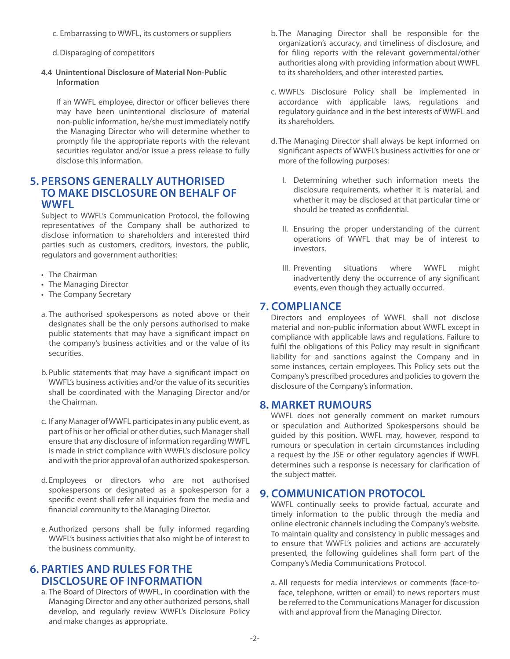- c. Embarrassing to WWFL, its customers or suppliers
- d.Disparaging of competitors
- **4.4 Unintentional Disclosure of Material Non-Public Information**

If an WWFL employee, director or officer believes there may have been unintentional disclosure of material non-public information, he/she must immediately notify the Managing Director who will determine whether to promptly file the appropriate reports with the relevant securities regulator and/or issue a press release to fully disclose this information.

## **5. PERSONS GENERALLY AUTHORISED TO MAKE DISCLOSURE ON BEHALF OF WWFL**

Subject to WWFL's Communication Protocol, the following representatives of the Company shall be authorized to disclose information to shareholders and interested third parties such as customers, creditors, investors, the public, regulators and government authorities:

- The Chairman
- • The Managing Director
- The Company Secretary
- a. The authorised spokespersons as noted above or their designates shall be the only persons authorised to make public statements that may have a significant impact on the company's business activities and or the value of its securities.
- b. Public statements that may have a significant impact on WWFL's business activities and/or the value of its securities shall be coordinated with the Managing Director and/or the Chairman.
- c. If any Manager of WWFL participates in any public event, as part of his or her official or other duties, such Manager shall ensure that any disclosure of information regarding WWFL is made in strict compliance with WWFL's disclosure policy and with the prior approval of an authorized spokesperson.
- d. Employees or directors who are not authorised spokespersons or designated as a spokesperson for a specific event shall refer all inquiries from the media and financial community to the Managing Director.
- e. Authorized persons shall be fully informed regarding WWFL's business activities that also might be of interest to the business community.

# **6. PARTIES AND RULES FOR THE DISCLOSURE OF INFORMATION**

a. The Board of Directors of WWFL, in coordination with the Managing Director and any other authorized persons, shall develop, and regularly review WWFL's Disclosure Policy and make changes as appropriate.

- b. The Managing Director shall be responsible for the organization's accuracy, and timeliness of disclosure, and for filing reports with the relevant governmental/other authorities along with providing information about WWFL to its shareholders, and other interested parties.
- c. WWFL's Disclosure Policy shall be implemented in accordance with applicable laws, regulations and regulatory guidance and in the best interests of WWFL and its shareholders.
- d. The Managing Director shall always be kept informed on significant aspects of WWFL's business activities for one or more of the following purposes:
	- I. Determining whether such information meets the disclosure requirements, whether it is material, and whether it may be disclosed at that particular time or should be treated as confidential.
	- II. Ensuring the proper understanding of the current operations of WWFL that may be of interest to investors.
	- III. Preventing situations where WWFL might inadvertently deny the occurrence of any significant events, even though they actually occurred.

## **7. COMPLIANCE**

Directors and employees of WWFL shall not disclose material and non-public information about WWFL except in compliance with applicable laws and regulations. Failure to fulfil the obligations of this Policy may result in significant liability for and sanctions against the Company and in some instances, certain employees. This Policy sets out the Company's prescribed procedures and policies to govern the disclosure of the Company's information.

### **8. MARKET RUMOURS**

WWFL does not generally comment on market rumours or speculation and Authorized Spokespersons should be guided by this position. WWFL may, however, respond to rumours or speculation in certain circumstances including a request by the JSE or other regulatory agencies if WWFL determines such a response is necessary for clarification of the subject matter.

## **9. COMMUNICATION PROTOCOL**

WWFL continually seeks to provide factual, accurate and timely information to the public through the media and online electronic channels including the Company's website. To maintain quality and consistency in public messages and to ensure that WWFL's policies and actions are accurately presented, the following guidelines shall form part of the Company's Media Communications Protocol.

a. All requests for media interviews or comments (face-toface, telephone, written or email) to news reporters must be referred to the Communications Manager for discussion with and approval from the Managing Director.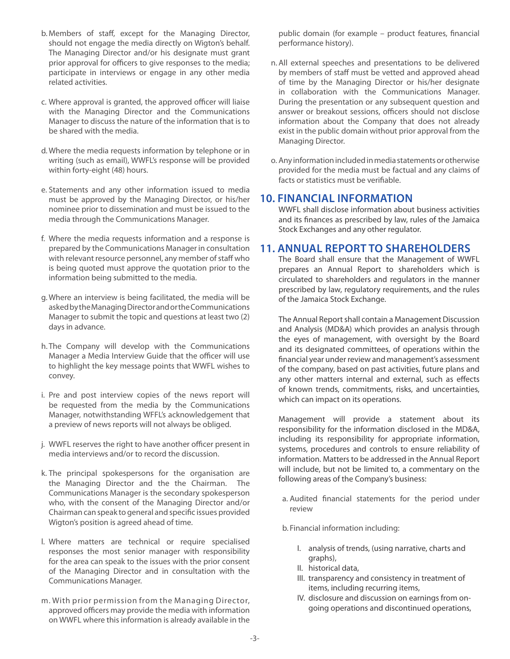- b. Members of staff, except for the Managing Director, should not engage the media directly on Wigton's behalf. The Managing Director and/or his designate must grant prior approval for officers to give responses to the media; participate in interviews or engage in any other media related activities.
- c. Where approval is granted, the approved officer will liaise with the Managing Director and the Communications Manager to discuss the nature of the information that is to be shared with the media.
- d.Where the media requests information by telephone or in writing (such as email), WWFL's response will be provided within forty-eight (48) hours.
- e. Statements and any other information issued to media must be approved by the Managing Director, or his/her nominee prior to dissemination and must be issued to the media through the Communications Manager.
- f. Where the media requests information and a response is prepared by the Communications Manager in consultation with relevant resource personnel, any member of staff who is being quoted must approve the quotation prior to the information being submitted to the media.
- g. Where an interview is being facilitated, the media will be asked by the Managing Director and or the Communications Manager to submit the topic and questions at least two (2) days in advance.
- h. The Company will develop with the Communications Manager a Media Interview Guide that the officer will use to highlight the key message points that WWFL wishes to convey.
- i. Pre and post interview copies of the news report will be requested from the media by the Communications Manager, notwithstanding WFFL's acknowledgement that a preview of news reports will not always be obliged.
- j. WWFL reserves the right to have another officer present in media interviews and/or to record the discussion.
- k. The principal spokespersons for the organisation are the Managing Director and the the Chairman. The Communications Manager is the secondary spokesperson who, with the consent of the Managing Director and/or Chairman can speak to general and specific issues provided Wigton's position is agreed ahead of time.
- l. Where matters are technical or require specialised responses the most senior manager with responsibility for the area can speak to the issues with the prior consent of the Managing Director and in consultation with the Communications Manager.
- m. With prior permission from the Managing Director, approved officers may provide the media with information on WWFL where this information is already available in the

public domain (for example – product features, financial performance history).

- n.All external speeches and presentations to be delivered by members of staff must be vetted and approved ahead of time by the Managing Director or his/her designate in collaboration with the Communications Manager. During the presentation or any subsequent question and answer or breakout sessions, officers should not disclose information about the Company that does not already exist in the public domain without prior approval from the Managing Director.
- o. Any information included in media statements or otherwise provided for the media must be factual and any claims of facts or statistics must be verifiable.

## **10. FINANCIAL INFORMATION**

WWFL shall disclose information about business activities and its finances as prescribed by law, rules of the Jamaica Stock Exchanges and any other regulator.

### **11. ANNUAL REPORT TO SHAREHOLDERS**

The Board shall ensure that the Management of WWFL prepares an Annual Report to shareholders which is circulated to shareholders and regulators in the manner prescribed by law, regulatory requirements, and the rules of the Jamaica Stock Exchange.

The Annual Report shall contain a Management Discussion and Analysis (MD&A) which provides an analysis through the eyes of management, with oversight by the Board and its designated committees, of operations within the financial year under review and management's assessment of the company, based on past activities, future plans and any other matters internal and external, such as effects of known trends, commitments, risks, and uncertainties, which can impact on its operations.

Management will provide a statement about its responsibility for the information disclosed in the MD&A, including its responsibility for appropriate information, systems, procedures and controls to ensure reliability of information. Matters to be addressed in the Annual Report will include, but not be limited to, a commentary on the following areas of the Company's business:

a. Audited financial statements for the period under review

b. Financial information including:

- I. analysis of trends, (using narrative, charts and graphs),
- II. historical data,
- III. transparency and consistency in treatment of items, including recurring items,
- IV. disclosure and discussion on earnings from ongoing operations and discontinued operations,